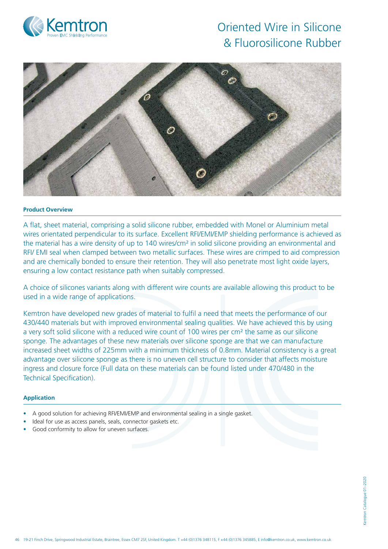



## **Product Overview**

A flat, sheet material, comprising a solid silicone rubber, embedded with Monel or Aluminium metal wires orientated perpendicular to its surface. Excellent RFI/EMI/EMP shielding performance is achieved as the material has a wire density of up to 140 wires/cm² in solid silicone providing an environmental and RFI/ EMI seal when clamped between two metallic surfaces. These wires are crimped to aid compression and are chemically bonded to ensure their retention. They will also penetrate most light oxide layers, ensuring a low contact resistance path when suitably compressed.

A choice of silicones variants along with different wire counts are available allowing this product to be used in a wide range of applications.

Kemtron have developed new grades of material to fulfil a need that meets the performance of our 430/440 materials but with improved environmental sealing qualities. We have achieved this by using a very soft solid silicone with a reduced wire count of 100 wires per cm² the same as our silicone sponge. The advantages of these new materials over silicone sponge are that we can manufacture increased sheet widths of 225mm with a minimum thickness of 0.8mm. Material consistency is a great advantage over silicone sponge as there is no uneven cell structure to consider that affects moisture ingress and closure force (Full data on these materials can be found listed under 470/480 in the Technical Specification).

### **Application**

- A good solution for achieving RFI/EMI/EMP and environmental sealing in a single gasket.
- Ideal for use as access panels, seals, connector gaskets etc.
- Good conformity to allow for uneven surfaces.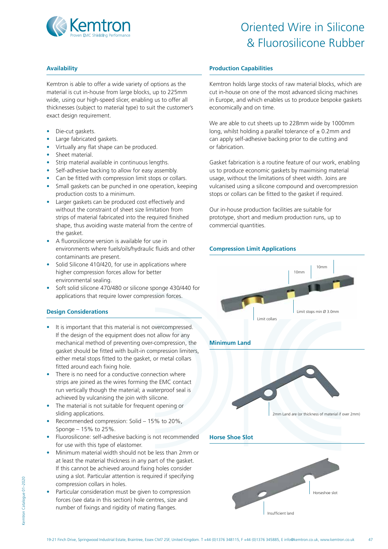

## **Availability**

Kemtron is able to offer a wide variety of options as the material is cut in-house from large blocks, up to 225mm wide, using our high-speed slicer, enabling us to offer all thicknesses (subject to material type) to suit the customer's exact design requirement.

- Die-cut gaskets.
- Large fabricated gaskets.
- Virtually any flat shape can be produced.
- Sheet material.
- Strip material available in continuous lengths.
- Self-adhesive backing to allow for easy assembly.
- Can be fitted with compression limit stops or collars.
- Small gaskets can be punched in one operation, keeping production costs to a minimum.
- Larger gaskets can be produced cost effectively and without the constraint of sheet size limitation from strips of material fabricated into the required finished shape, thus avoiding waste material from the centre of the gasket.
- A fluorosilicone version is available for use in environments where fuels/oils/hydraulic fluids and other contaminants are present.
- Solid Silicone 410/420, for use in applications where higher compression forces allow for better environmental sealing.
- Soft solid silicone 470/480 or silicone sponge 430/440 for applications that require lower compression forces.

## **Design Considerations**

- It is important that this material is not overcompressed. If the design of the equipment does not allow for any mechanical method of preventing over-compression, the gasket should be fitted with built-in compression limiters, either metal stops fitted to the gasket, or metal collars fitted around each fixing hole.
- There is no need for a conductive connection where strips are joined as the wires forming the EMC contact run vertically though the material; a waterproof seal is achieved by vulcanising the join with silicone.
- The material is not suitable for frequent opening or sliding applications.
- Recommended compression: Solid 15% to 20%, Sponge – 15% to 25%.
- Fluorosilicone: self-adhesive backing is not recommended for use with this type of elastomer.
- Minimum material width should not be less than 2mm or at least the material thickness in any part of the gasket. If this cannot be achieved around fixing holes consider using a slot. Particular attention is required if specifying compression collars in holes.
- Particular consideration must be given to compression forces (see data in this section) hole centres, size and number of fixings and rigidity of mating flanges.

## **Production Capabilities**

Kemtron holds large stocks of raw material blocks, which are cut in-house on one of the most advanced slicing machines in Europe, and which enables us to produce bespoke gaskets economically and on time.

We are able to cut sheets up to 228mm wide by 1000mm long, whilst holding a parallel tolerance of  $\pm$  0.2mm and can apply self-adhesive backing prior to die cutting and or fabrication.

Gasket fabrication is a routine feature of our work, enabling us to produce economic gaskets by maximising material usage, without the limitations of sheet width. Joins are vulcanised using a silicone compound and overcompression stops or collars can be fitted to the gasket if required.

Our in-house production facilities are suitable for prototype, short and medium production runs, up to commercial quantities.

### **Compression Limit Applications**



<emtron Catalogue 01-2020 Kemtron Catalogue 01–2020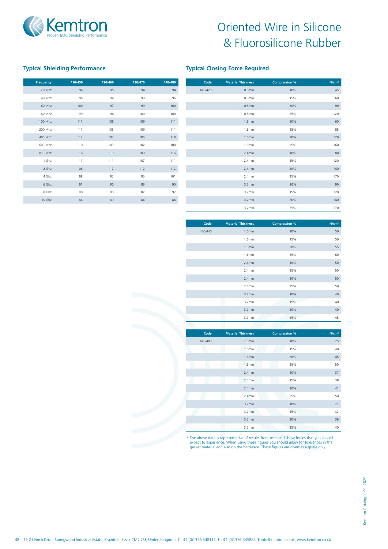

# **Typical Shielding Performance Typical Closing Force Required**

| <b>Frequency</b> | 410/450 | 420/460 | 430/470 | 440/480 |
|------------------|---------|---------|---------|---------|
| 20 Mhz           | 94      | 95      | 94      | 94      |
| 40 Mhz           | 96      | 96      | 99      | 96      |
| 60 Mhz           | 100     | 97      | 99      | 100     |
| 80 Mhz           | 99      | 98      | 100     | 100     |
| 100 Mhz          | 111     | 105     | 109     | 111     |
| 200 Mhz          | 111     | 105     | 109     | 111     |
| 400 Mhz          | 112     | 107     | 105     | 110     |
| 600 Mhz          | 110     | 103     | 102     | 108     |
| 800 Mhz          | 116     | 110     | 109     | 116     |
| 1 Ghz            | 111     | 111     | 107     | 111     |
| 2 Ghz            | 106     | 112     | 112     | 112     |
| 4 Ghz            | 98      | 97      | 95      | 101     |
| 6 Ghz            | 91      | 90      | 89      | 90      |
| 8 Ghz            | 90      | 90      | 87      | 92      |
| 10 Ghz           | 84      | 89      | 84      | 88      |

| Code    | <b>Material Thickness</b> | <b>Compression %</b> | N/cm <sup>2</sup> |
|---------|---------------------------|----------------------|-------------------|
| 410/420 | 0.8 <sub>mm</sub>         | 10%                  | 45                |
|         | 0.8 <sub>mm</sub>         | 15%                  | 60                |
|         | 0.8 <sub>mm</sub>         | 20%                  | 90                |
|         | 0.8 <sub>mm</sub>         | 25%                  | 120               |
|         | 1.6 <sub>mm</sub>         | 10%                  | 60                |
|         | 1.6mm                     | 15%                  | 85                |
|         | 1.6mm                     | 20%                  | 120               |
|         | 1.6mm                     | 25%                  | 160               |
|         | 2.4mm                     | 10%                  | 80                |
|         | 2.4mm                     | 15%                  | 120               |
|         | 2.4mm                     | 20%                  | 140               |
|         | 2.4mm                     | 25%                  | 170               |
|         | 3.2mm                     | 10%                  | 90                |
|         | 3.2mm                     | 15%                  | 120               |
|         | 3.2mm                     | 20%                  | 140               |
|         | 3.2mm                     | 25%                  | 170               |

| <b>Material Thickness</b> | <b>Compression %</b> | N/cm <sup>2</sup> |
|---------------------------|----------------------|-------------------|
|                           |                      |                   |
| 1.6mm                     | 10%                  | 50                |
| 1.6 <sub>mm</sub>         | 15%                  | 50                |
| 1.6mm                     | 20%                  | 55                |
| 1.6mm                     | 25%                  | 60                |
| 2.4 <sub>mm</sub>         | 10%                  | 50                |
| 2.4 <sub>mm</sub>         | 15%                  | 50                |
| 2.4mm                     | 20%                  | 50                |
| 2.4 <sub>mm</sub>         | 25%                  | 50                |
| 3.2mm                     | 10%                  | 40                |
| 3.2mm                     | 15%                  | 40                |
| 3.2mm                     | 20%                  | 40                |
| 3.2mm                     | 25%                  | 45                |
|                           |                      |                   |

| Code    | <b>Material Thickness</b> | <b>Compression %</b> | N/cm <sup>2</sup> |
|---------|---------------------------|----------------------|-------------------|
| 470/480 | 1.6 <sub>mm</sub>         | 10%                  | 25                |
|         | 1.6mm                     | 15%                  | 40                |
|         | 1.6 <sub>mm</sub>         | 20%                  | 45                |
|         | 1.6mm                     | 25%                  | 50                |
|         | 2.4 <sub>mm</sub>         | 10%                  | 37                |
|         | 2.4mm                     | 15%                  | 39                |
|         | 2.4mm                     | 20%                  | 41                |
|         | 2.4mm                     | 25%                  | 50                |
|         | 3.2mm                     | 10%                  | 27                |
|         | 3.2mm                     | 15%                  | 32                |
|         | 3.2mm                     | 20%                  | 36                |
|         | 3.2mm                     | 25%                  | 40                |

\* The above data is representative of results from tests and show forces that you should expect to experience. When using these figures you should allow for tolerances in the gasket material and also on the hardware. These figures are given as a guide only.